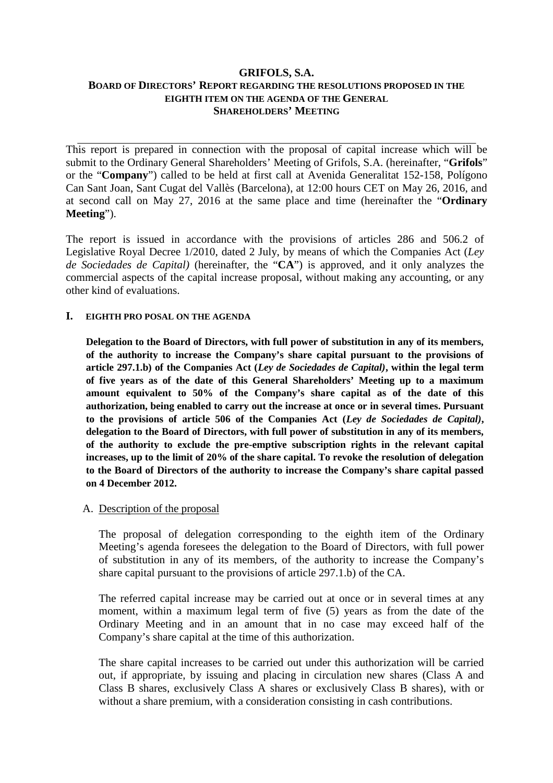# **GRIFOLS, S.A. BOARD OF DIRECTORS' REPORT REGARDING THE RESOLUTIONS PROPOSED IN THE EIGHTH ITEM ON THE AGENDA OF THE GENERAL SHAREHOLDERS' MEETING**

This report is prepared in connection with the proposal of capital increase which will be submit to the Ordinary General Shareholders' Meeting of Grifols, S.A. (hereinafter, "**Grifols**" or the "**Company**") called to be held at first call at Avenida Generalitat 152-158, Polígono Can Sant Joan, Sant Cugat del Vallès (Barcelona), at 12:00 hours CET on May 26, 2016, and at second call on May 27, 2016 at the same place and time (hereinafter the "**Ordinary Meeting**").

The report is issued in accordance with the provisions of articles 286 and 506.2 of Legislative Royal Decree 1/2010, dated 2 July, by means of which the Companies Act (*Ley de Sociedades de Capital)* (hereinafter, the "**CA**") is approved, and it only analyzes the commercial aspects of the capital increase proposal, without making any accounting, or any other kind of evaluations.

# **I. EIGHTH PRO POSAL ON THE AGENDA**

**Delegation to the Board of Directors, with full power of substitution in any of its members, of the authority to increase the Company's share capital pursuant to the provisions of article 297.1.b) of the Companies Act (***Ley de Sociedades de Capital)***, within the legal term of five years as of the date of this General Shareholders' Meeting up to a maximum amount equivalent to 50% of the Company's share capital as of the date of this authorization, being enabled to carry out the increase at once or in several times. Pursuant to the provisions of article 506 of the Companies Act (***Ley de Sociedades de Capital)***, delegation to the Board of Directors, with full power of substitution in any of its members, of the authority to exclude the pre-emptive subscription rights in the relevant capital increases, up to the limit of 20% of the share capital. To revoke the resolution of delegation to the Board of Directors of the authority to increase the Company's share capital passed on 4 December 2012.**

#### A. Description of the proposal

The proposal of delegation corresponding to the eighth item of the Ordinary Meeting's agenda foresees the delegation to the Board of Directors, with full power of substitution in any of its members, of the authority to increase the Company's share capital pursuant to the provisions of article 297.1.b) of the CA.

The referred capital increase may be carried out at once or in several times at any moment, within a maximum legal term of five (5) years as from the date of the Ordinary Meeting and in an amount that in no case may exceed half of the Company's share capital at the time of this authorization.

The share capital increases to be carried out under this authorization will be carried out, if appropriate, by issuing and placing in circulation new shares (Class A and Class B shares, exclusively Class A shares or exclusively Class B shares), with or without a share premium, with a consideration consisting in cash contributions.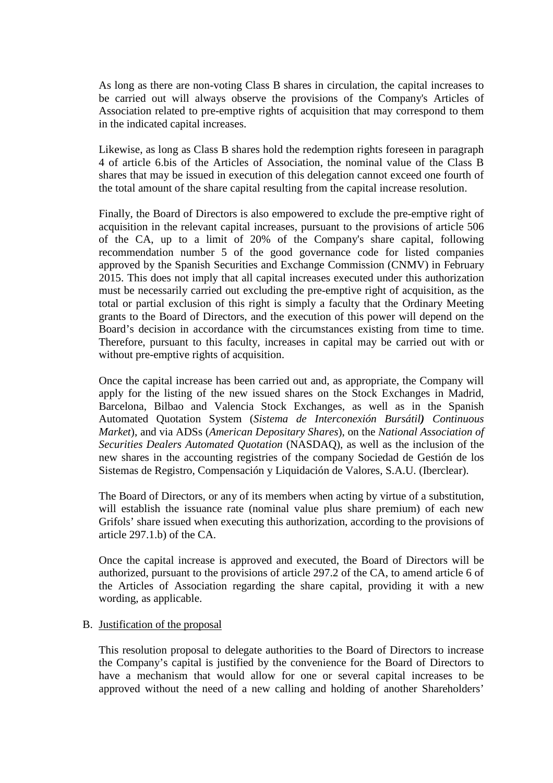As long as there are non-voting Class B shares in circulation, the capital increases to be carried out will always observe the provisions of the Company's Articles of Association related to pre-emptive rights of acquisition that may correspond to them in the indicated capital increases.

Likewise, as long as Class B shares hold the redemption rights foreseen in paragraph 4 of article 6.bis of the Articles of Association, the nominal value of the Class B shares that may be issued in execution of this delegation cannot exceed one fourth of the total amount of the share capital resulting from the capital increase resolution.

Finally, the Board of Directors is also empowered to exclude the pre-emptive right of acquisition in the relevant capital increases, pursuant to the provisions of article 506 of the CA, up to a limit of 20% of the Company's share capital, following recommendation number 5 of the good governance code for listed companies approved by the Spanish Securities and Exchange Commission (CNMV) in February 2015. This does not imply that all capital increases executed under this authorization must be necessarily carried out excluding the pre-emptive right of acquisition, as the total or partial exclusion of this right is simply a faculty that the Ordinary Meeting grants to the Board of Directors, and the execution of this power will depend on the Board's decision in accordance with the circumstances existing from time to time. Therefore, pursuant to this faculty, increases in capital may be carried out with or without pre-emptive rights of acquisition.

Once the capital increase has been carried out and, as appropriate, the Company will apply for the listing of the new issued shares on the Stock Exchanges in Madrid, Barcelona, Bilbao and Valencia Stock Exchanges, as well as in the Spanish Automated Quotation System (*Sistema de Interconexión Bursátil) Continuous Market*), and via ADSs (*American Depositary Shares*), on the *National Association of Securities Dealers Automated Quotation* (NASDAQ), as well as the inclusion of the new shares in the accounting registries of the company Sociedad de Gestión de los Sistemas de Registro, Compensación y Liquidación de Valores, S.A.U. (Iberclear).

The Board of Directors, or any of its members when acting by virtue of a substitution, will establish the issuance rate (nominal value plus share premium) of each new Grifols' share issued when executing this authorization, according to the provisions of article 297.1.b) of the CA.

Once the capital increase is approved and executed, the Board of Directors will be authorized, pursuant to the provisions of article 297.2 of the CA, to amend article 6 of the Articles of Association regarding the share capital, providing it with a new wording, as applicable.

# B. Justification of the proposal

This resolution proposal to delegate authorities to the Board of Directors to increase the Company's capital is justified by the convenience for the Board of Directors to have a mechanism that would allow for one or several capital increases to be approved without the need of a new calling and holding of another Shareholders'